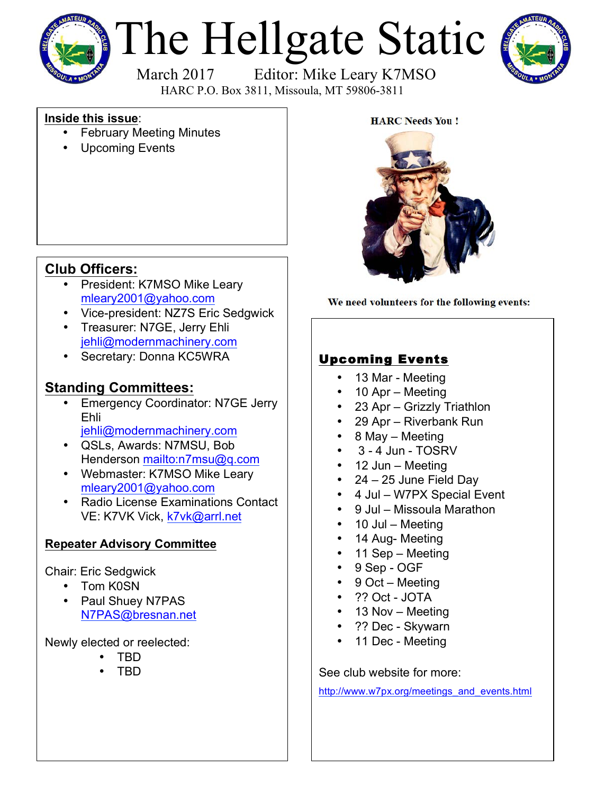

# The Hellgate Static



March 2017 Editor: Mike Leary K7MSO HARC P.O. Box 3811, Missoula, MT 59806-3811

### **Inside this issue**:

- **February Meeting Minutes**
- Upcoming Events

### **Club Officers:**

- President: K7MSO Mike Leary mleary2001@yahoo.com
- Vice-president: NZ7S Eric Sedgwick
- Treasurer: N7GE, Jerry Ehli jehli@modernmachinery.com
- Secretary: Donna KC5WRA

### **Standing Committees:**

- Emergency Coordinator: N7GE Jerry Ehli jehli@modernmachinery.com
- QSLs, Awards: N7MSU, Bob Henderson mailto:n7msu@q.com
- Webmaster: K7MSO Mike Leary mleary2001@yahoo.com
- Radio License Examinations Contact VE: K7VK Vick, k7vk@arrl.net

### **Repeater Advisory Committee**

### Chair: Eric Sedgwick

- Tom K0SN
- Paul Shuey N7PAS N7PAS@bresnan.net

Newly elected or reelected:

- TBD
- TBD



We need volunteers for the following events:

### Upcoming Events

- 13 Mar Meeting
- 10 Apr Meeting
- 23 Apr Grizzly Triathlon
- 29 Apr Riverbank Run
- 8 May Meeting
- $\cdot$  3 4 Jun TOSRV
- 12 Jun Meeting
- 24 25 June Field Day
- 4 Jul W7PX Special Event
- 9 Jul Missoula Marathon
- 10 Jul Meeting
- 14 Aug- Meeting
- 11 Sep Meeting
- 9 Sep OGF
- 9 Oct Meeting
- ?? Oct JOTA
- 13 Nov Meeting
- ?? Dec Skywarn
- 11 Dec Meeting

See club website for more:

http://www.w7px.org/meetings\_and\_events.html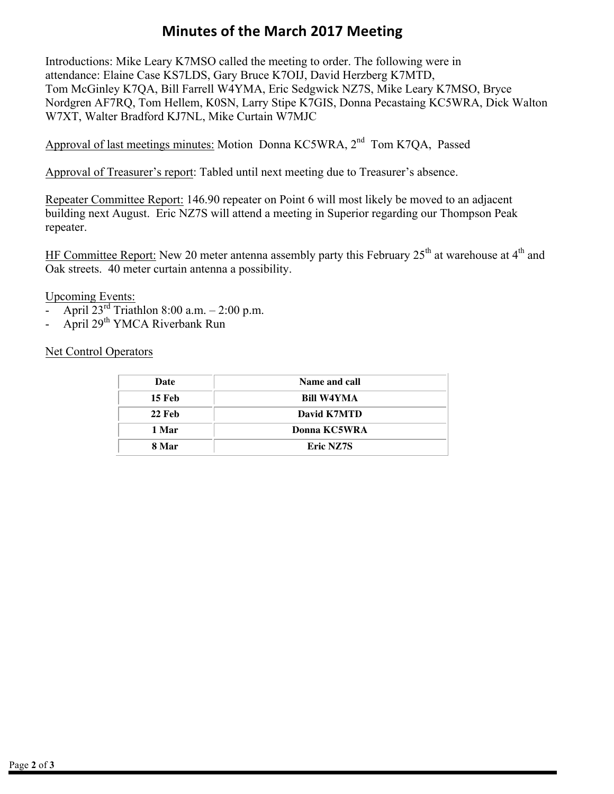## **Minutes of the March 2017 Meeting**

Introductions: Mike Leary K7MSO called the meeting to order. The following were in attendance: Elaine Case KS7LDS, Gary Bruce K7OIJ, David Herzberg K7MTD, Tom McGinley K7QA, Bill Farrell W4YMA, Eric Sedgwick NZ7S, Mike Leary K7MSO, Bryce Nordgren AF7RQ, Tom Hellem, K0SN, Larry Stipe K7GIS, Donna Pecastaing KC5WRA, Dick Walton W7XT, Walter Bradford KJ7NL, Mike Curtain W7MJC

Approval of last meetings minutes: Motion Donna KC5WRA, 2<sup>nd</sup> Tom K7QA, Passed

Approval of Treasurer's report: Tabled until next meeting due to Treasurer's absence.

Repeater Committee Report: 146.90 repeater on Point 6 will most likely be moved to an adjacent building next August. Eric NZ7S will attend a meeting in Superior regarding our Thompson Peak repeater.

HF Committee Report: New 20 meter antenna assembly party this February  $25<sup>th</sup>$  at warehouse at  $4<sup>th</sup>$  and Oak streets. 40 meter curtain antenna a possibility.

Upcoming Events:

- April  $23^{\text{rd}}$  Triathlon 8:00 a.m. 2:00 p.m.<br>- April 29<sup>th</sup> YMCA Riverbank Run
- April 29<sup>th</sup> YMCA Riverbank Run

Net Control Operators

| Date          | Name and call    |
|---------------|------------------|
| 15 Feb        | Bill W4YMA       |
| <b>22 Feb</b> | David K7MTD      |
| 1 Mar         | Donna KC5WRA     |
| 8 Mar         | <b>Eric NZ7S</b> |